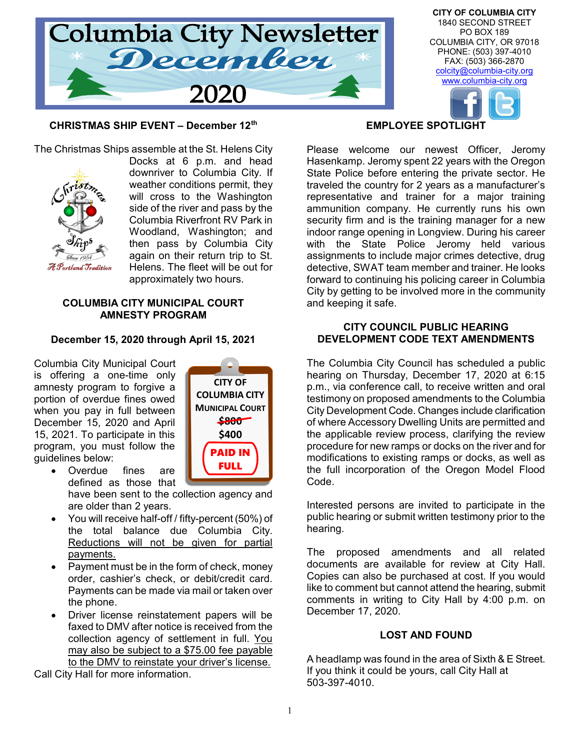

CITY OF COLUMBIA CITY 1840 SECOND STREET PO BOX 189 COLUMBIA CITY, OR 97018 PHONE: (503) 397-4010 FAX: (503) 366-2870 colcity@columbia-city.org www.columbia-city.org

## CHRISTMAS SHIP EVENT – December 12th



The Christmas Ships assemble at the St. Helens City Docks at 6 p.m. and head downriver to Columbia City. If weather conditions permit, they will cross to the Washington side of the river and pass by the Columbia Riverfront RV Park in Woodland, Washington; and then pass by Columbia City again on their return trip to St. Helens. The fleet will be out for approximately two hours.

#### COLUMBIA CITY MUNICIPAL COURT AMNESTY PROGRAM

#### December 15, 2020 through April 15, 2021

Columbia City Municipal Court is offering a one-time only amnesty program to forgive a portion of overdue fines owed when you pay in full between December 15, 2020 and April 15, 2021. To participate in this program, you must follow the guidelines below:



- Overdue fines are defined as those that have been sent to the collection agency and are older than 2 years.
- You will receive half-off / fifty-percent (50%) of the total balance due Columbia City. Reductions will not be given for partial payments.
- Payment must be in the form of check, money order, cashier's check, or debit/credit card. Payments can be made via mail or taken over the phone.
- Driver license reinstatement papers will be faxed to DMV after notice is received from the collection agency of settlement in full. You may also be subject to a \$75.00 fee payable to the DMV to reinstate your driver's license.

Call City Hall for more information.

#### EMPLOYEE SPOTLIGHT

Please welcome our newest Officer, Jeromy Hasenkamp. Jeromy spent 22 years with the Oregon State Police before entering the private sector. He traveled the country for 2 years as a manufacturer's representative and trainer for a major training ammunition company. He currently runs his own security firm and is the training manager for a new indoor range opening in Longview. During his career with the State Police Jeromy held various assignments to include major crimes detective, drug detective, SWAT team member and trainer. He looks forward to continuing his policing career in Columbia City by getting to be involved more in the community and keeping it safe.

#### CITY COUNCIL PUBLIC HEARING DEVELOPMENT CODE TEXT AMENDMENTS

The Columbia City Council has scheduled a public hearing on Thursday, December 17, 2020 at 6:15 p.m., via conference call, to receive written and oral testimony on proposed amendments to the Columbia City Development Code. Changes include clarification of where Accessory Dwelling Units are permitted and the applicable review process, clarifying the review procedure for new ramps or docks on the river and for modifications to existing ramps or docks, as well as **FULL** I the full incorporation of the Oregon Model Flood Code.

> Interested persons are invited to participate in the public hearing or submit written testimony prior to the hearing.

> The proposed amendments and all related documents are available for review at City Hall. Copies can also be purchased at cost. If you would like to comment but cannot attend the hearing, submit comments in writing to City Hall by 4:00 p.m. on December 17, 2020.

### LOST AND FOUND

A headlamp was found in the area of Sixth & E Street. If you think it could be yours, call City Hall at 503-397-4010.